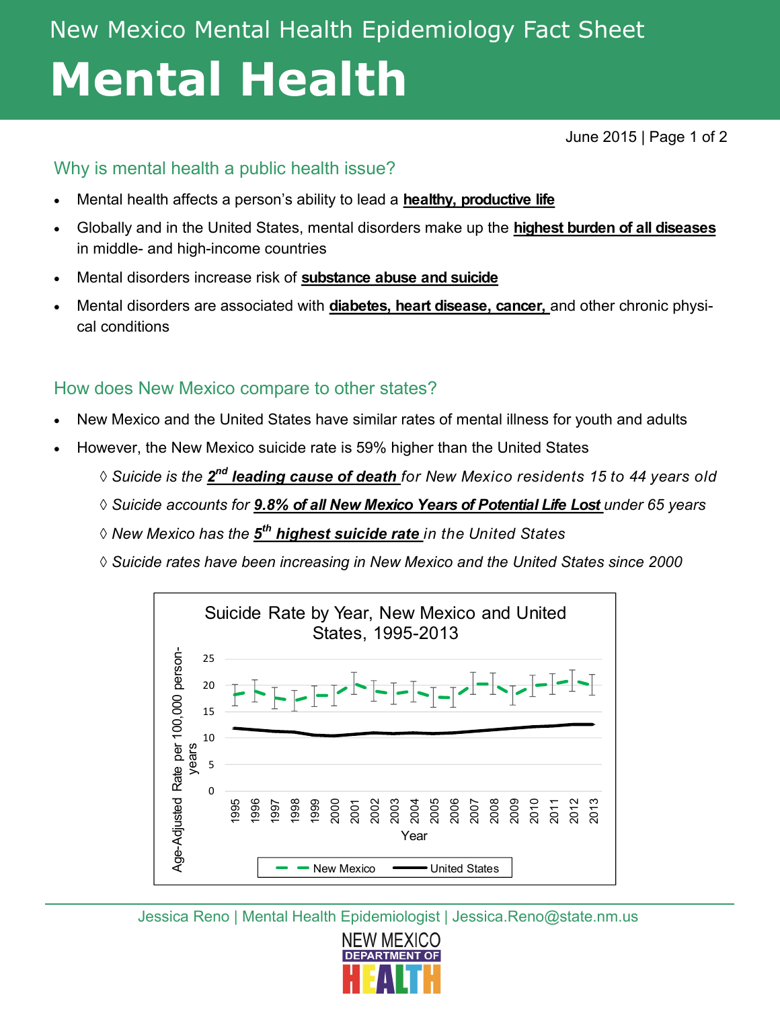# New Mexico Mental Health Epidemiology Fact Sheet **Mental Health**

June 2015 | Page 1 of 2

### Why is mental health a public health issue?

- Mental health affects a person's ability to lead a **healthy, productive life**
- Globally and in the United States, mental disorders make up the **highest burden of all diseases**  in middle- and high-income countries
- Mental disorders increase risk of **substance abuse and suicide**
- Mental disorders are associated with **diabetes, heart disease, cancer,** and other chronic physical conditions

### How does New Mexico compare to other states?

- New Mexico and the United States have similar rates of mental illness for youth and adults
- However, the New Mexico suicide rate is 59% higher than the United States
	- $\Diamond$  Suicide is the  $\mathbf{2}^{\mathsf{nd}}$  leading cause of death for New Mexico residents 15 to 44 years old
	- ◊ *Suicide accounts for 9.8% of all New Mexico Years of Potential Life Lost under 65 years*
	- ◊ *New Mexico has the 5 th highest suicide rate in the United States*
	- ◊ *Suicide rates have been increasing in New Mexico and the United States since 2000*



Jessica Reno | Mental Health Epidemiologist | Jessica.Reno@state.nm.us